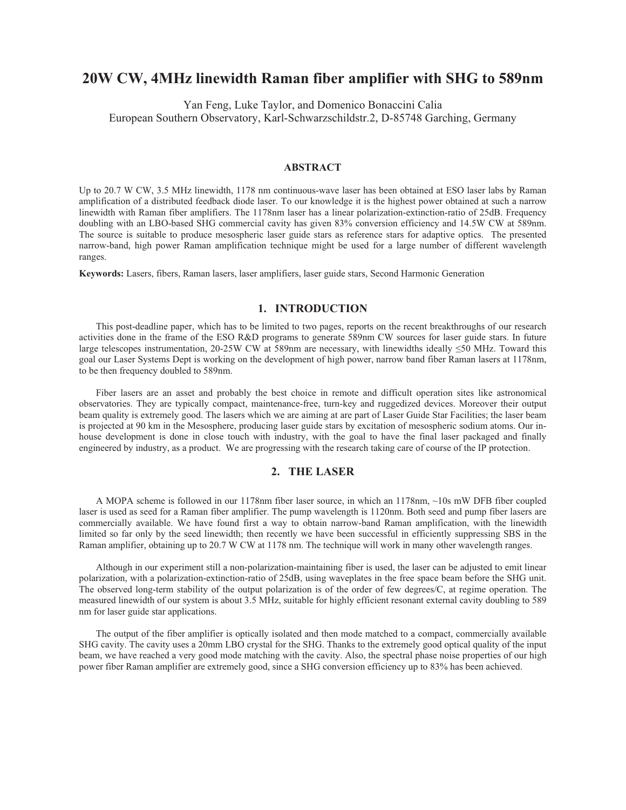# **20W CW, 4MHz linewidth Raman fiber amplifier with SHG to 589nm**

Yan Feng, Luke Taylor, and Domenico Bonaccini Calia European Southern Observatory, Karl-Schwarzschildstr.2, D-85748 Garching, Germany

### **ABSTRACT**

Up to 20.7 W CW, 3.5 MHz linewidth, 1178 nm continuous-wave laser has been obtained at ESO laser labs by Raman amplification of a distributed feedback diode laser. To our knowledge it is the highest power obtained at such a narrow linewidth with Raman fiber amplifiers. The 1178nm laser has a linear polarization-extinction-ratio of 25dB. Frequency doubling with an LBO-based SHG commercial cavity has given 83% conversion efficiency and 14.5W CW at 589nm. The source is suitable to produce mesospheric laser guide stars as reference stars for adaptive optics. The presented narrow-band, high power Raman amplification technique might be used for a large number of different wavelength ranges.

**Keywords:** Lasers, fibers, Raman lasers, laser amplifiers, laser guide stars, Second Harmonic Generation

## **1. INTRODUCTION**

This post-deadline paper, which has to be limited to two pages, reports on the recent breakthroughs of our research activities done in the frame of the ESO R&D programs to generate 589nm CW sources for laser guide stars. In future large telescopes instrumentation,  $20-25W$  CW at 589nm are necessary, with linewidths ideally  $\leq 50$  MHz. Toward this goal our Laser Systems Dept is working on the development of high power, narrow band fiber Raman lasers at 1178nm, to be then frequency doubled to 589nm.

Fiber lasers are an asset and probably the best choice in remote and difficult operation sites like astronomical observatories. They are typically compact, maintenance-free, turn-key and ruggedized devices. Moreover their output beam quality is extremely good. The lasers which we are aiming at are part of Laser Guide Star Facilities; the laser beam is projected at 90 km in the Mesosphere, producing laser guide stars by excitation of mesospheric sodium atoms. Our inhouse development is done in close touch with industry, with the goal to have the final laser packaged and finally engineered by industry, as a product. We are progressing with the research taking care of course of the IP protection.

# **2. THE LASER**

A MOPA scheme is followed in our 1178nm fiber laser source, in which an 1178nm, ~10s mW DFB fiber coupled laser is used as seed for a Raman fiber amplifier. The pump wavelength is 1120nm. Both seed and pump fiber lasers are commercially available. We have found first a way to obtain narrow-band Raman amplification, with the linewidth limited so far only by the seed linewidth; then recently we have been successful in efficiently suppressing SBS in the Raman amplifier, obtaining up to 20.7 W CW at 1178 nm. The technique will work in many other wavelength ranges.

Although in our experiment still a non-polarization-maintaining fiber is used, the laser can be adjusted to emit linear polarization, with a polarization-extinction-ratio of 25dB, using waveplates in the free space beam before the SHG unit. The observed long-term stability of the output polarization is of the order of few degrees/C, at regime operation. The measured linewidth of our system is about 3.5 MHz, suitable for highly efficient resonant external cavity doubling to 589 nm for laser guide star applications.

The output of the fiber amplifier is optically isolated and then mode matched to a compact, commercially available SHG cavity. The cavity uses a 20mm LBO crystal for the SHG. Thanks to the extremely good optical quality of the input beam, we have reached a very good mode matching with the cavity. Also, the spectral phase noise properties of our high power fiber Raman amplifier are extremely good, since a SHG conversion efficiency up to 83% has been achieved.